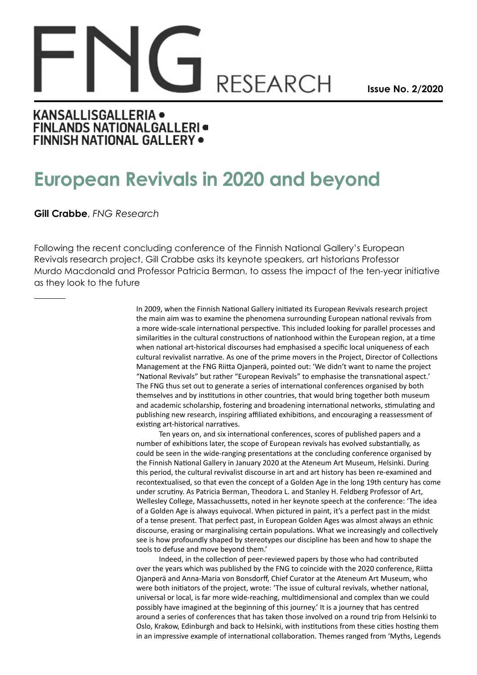## **RESEARCH**

**Issue No. 2/2020**

## **KANSALLISGALLERIA . FINLANDS NATIONALGALLERI FINNISH NATIONAL GALLERY .**

## **European Revivals in 2020 and beyond**

**Gill Crabbe**, *FNG Research*

Following the recent concluding conference of the Finnish National Gallery's European Revivals research project, Gill Crabbe asks its keynote speakers, art historians Professor Murdo Macdonald and Professor Patricia Berman, to assess the impact of the ten-year initiative as they look to the future

> In 2009, when the Finnish National Gallery initiated its European Revivals research project the main aim was to examine the phenomena surrounding European national revivals from a more wide-scale international perspective. This included looking for parallel processes and similarities in the cultural constructions of nationhood within the European region, at a time when national art-historical discourses had emphasised a specific local uniqueness of each cultural revivalist narrative. As one of the prime movers in the Project, Director of Collections Management at the FNG Riitta Ojanperä, pointed out: 'We didn't want to name the project "National Revivals" but rather "European Revivals" to emphasise the transnational aspect.' The FNG thus set out to generate a series of international conferences organised by both themselves and by institutions in other countries, that would bring together both museum and academic scholarship, fostering and broadening international networks, stimulating and publishing new research, inspiring affiliated exhibitions, and encouraging a reassessment of existing art-historical narratives.

> Ten years on, and six international conferences, scores of published papers and a number of exhibitions later, the scope of European revivals has evolved substantially, as could be seen in the wide-ranging presentations at the concluding conference organised by the Finnish National Gallery in January 2020 at the Ateneum Art Museum, Helsinki. During this period, the cultural revivalist discourse in art and art history has been re-examined and recontextualised, so that even the concept of a Golden Age in the long 19th century has come under scrutiny. As Patricia Berman, Theodora L. and Stanley H. Feldberg Professor of Art, Wellesley College, Massachussetts, noted in her keynote speech at the conference: 'The idea of a Golden Age is always equivocal. When pictured in paint, it's a perfect past in the midst of a tense present. That perfect past, in European Golden Ages was almost always an ethnic discourse, erasing or marginalising certain populations. What we increasingly and collectively see is how profoundly shaped by stereotypes our discipline has been and how to shape the tools to defuse and move beyond them.'

> Indeed, in the collection of peer-reviewed papers by those who had contributed over the years which was published by the FNG to coincide with the 2020 conference, Riitta Ojanperä and Anna-Maria von Bonsdorff, Chief Curator at the Ateneum Art Museum, who were both initiators of the project, wrote: 'The issue of cultural revivals, whether national, universal or local, is far more wide-reaching, multidimensional and complex than we could possibly have imagined at the beginning of this journey.' It is a journey that has centred around a series of conferences that has taken those involved on a round trip from Helsinki to Oslo, Krakow, Edinburgh and back to Helsinki, with institutions from these cities hosting them in an impressive example of international collaboration. Themes ranged from 'Myths, Legends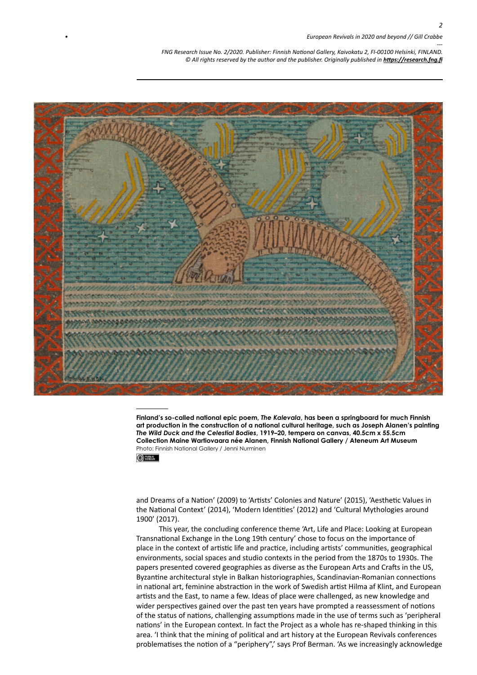*--- FNG Research Issue No. 2/2020. Publisher: Finnish National Gallery, Kaivokatu 2, FI-00100 Helsinki, FINLAND.* © All rights reserved by the author and the publisher. Originally published in **<https://research.fng.fi>** 



**Finland's so-called national epic poem,** *The Kalevala***, has been a springboard for much Finnish art production in the construction of a national cultural heritage, such as Joseph Alanen's painting**  *The Wild Duck and the Celestial Bodies***, 1919–20, tempera on canvas, 40.5cm x 55.5cm Collection Maine Wartiovaara née Alanen, Finnish National Gallery / Ateneum Art Museum** Photo: Finnish National Gallery / Jenni Nurminen

 $①$  sees.

and Dreams of a Nation' (2009) to 'Artists' Colonies and Nature' (2015), 'Aesthetic Values in the National Context' (2014), 'Modern Identities' (2012) and 'Cultural Mythologies around 1900' (2017).

This year, the concluding conference theme 'Art, Life and Place: Looking at European Transnational Exchange in the Long 19th century' chose to focus on the importance of place in the context of artistic life and practice, including artists' communities, geographical environments, social spaces and studio contexts in the period from the 1870s to 1930s. The papers presented covered geographies as diverse as the European Arts and Crafts in the US, Byzantine architectural style in Balkan historiographies, Scandinavian-Romanian connections in national art, feminine abstraction in the work of Swedish artist Hilma af Klint, and European artists and the East, to name a few. Ideas of place were challenged, as new knowledge and wider perspectives gained over the past ten years have prompted a reassessment of notions of the status of nations, challenging assumptions made in the use of terms such as 'peripheral nations' in the European context. In fact the Project as a whole has re-shaped thinking in this area. 'I think that the mining of political and art history at the European Revivals conferences problematises the notion of a "periphery",' says Prof Berman. 'As we increasingly acknowledge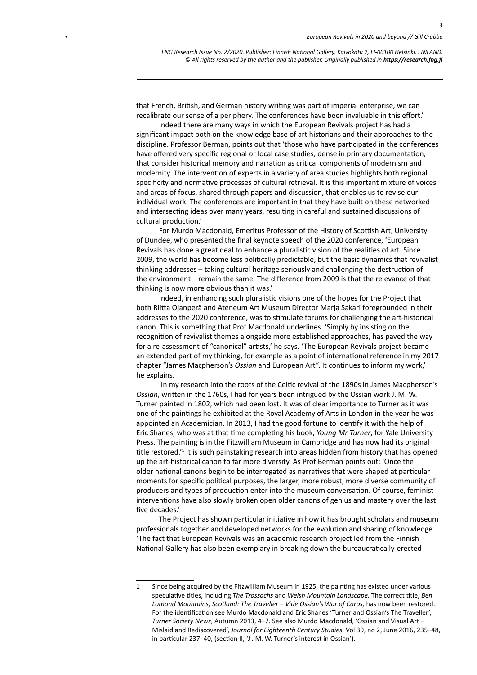*3*

*--- FNG Research Issue No. 2/2020. Publisher: Finnish National Gallery, Kaivokatu 2, FI-00100 Helsinki, FINLAND.* © All rights reserved by the author and the publisher. Originally published in **<https://research.fng.fi>** 

that French, British, and German history writing was part of imperial enterprise, we can recalibrate our sense of a periphery. The conferences have been invaluable in this effort.'

Indeed there are many ways in which the European Revivals project has had a significant impact both on the knowledge base of art historians and their approaches to the discipline. Professor Berman, points out that 'those who have participated in the conferences have offered very specific regional or local case studies, dense in primary documentation, that consider historical memory and narration as critical components of modernism and modernity. The intervention of experts in a variety of area studies highlights both regional specificity and normative processes of cultural retrieval. It is this important mixture of voices and areas of focus, shared through papers and discussion, that enables us to revise our individual work. The conferences are important in that they have built on these networked and intersecting ideas over many years, resulting in careful and sustained discussions of cultural production.'

For Murdo Macdonald, Emeritus Professor of the History of Scottish Art, University of Dundee, who presented the final keynote speech of the 2020 conference, 'European Revivals has done a great deal to enhance a pluralistic vision of the realities of art. Since 2009, the world has become less politically predictable, but the basic dynamics that revivalist thinking addresses – taking cultural heritage seriously and challenging the destruction of the environment – remain the same. The difference from 2009 is that the relevance of that thinking is now more obvious than it was.'

Indeed, in enhancing such pluralistic visions one of the hopes for the Project that both Riitta Ojanperä and Ateneum Art Museum Director Marja Sakari foregrounded in their addresses to the 2020 conference, was to stimulate forums for challenging the art-historical canon. This is something that Prof Macdonald underlines. 'Simply by insisting on the recognition of revivalist themes alongside more established approaches, has paved the way for a re-assessment of "canonical" artists,' he says. 'The European Revivals project became an extended part of my thinking, for example as a point of international reference in my 2017 chapter "James Macpherson's *Ossian* and European Art". It continues to inform my work,' he explains.

'In my research into the roots of the Celtic revival of the 1890s in James Macpherson's *Ossian*, written in the 1760s, I had for years been intrigued by the Ossian work J. M. W. Turner painted in 1802, which had been lost. It was of clear importance to Turner as it was one of the paintings he exhibited at the Royal Academy of Arts in London in the year he was appointed an Academician. In 2013, I had the good fortune to identify it with the help of Eric Shanes, who was at that time completing his book, *Young Mr Turner*, for Yale University Press. The painting is in the Fitzwilliam Museum in Cambridge and has now had its original title restored.<sup>1</sup> It is such painstaking research into areas hidden from history that has opened up the art-historical canon to far more diversity. As Prof Berman points out: 'Once the older national canons begin to be interrogated as narratives that were shaped at particular moments for specific political purposes, the larger, more robust, more diverse community of producers and types of production enter into the museum conversation. Of course, feminist interventions have also slowly broken open older canons of genius and mastery over the last five decades.'

The Project has shown particular initiative in how it has brought scholars and museum professionals together and developed networks for the evolution and sharing of knowledge. 'The fact that European Revivals was an academic research project led from the Finnish National Gallery has also been exemplary in breaking down the bureaucratically-erected

<sup>1</sup> Since being acquired by the Fitzwilliam Museum in 1925, the painting has existed under various speculative titles, including *The Trossachs* and *Welsh Mountain Landscape.* The correct title, *Ben Lomond Mountains, Scotland: The Traveller – Vide Ossian's War of Caros,* has now been restored. For the identification see Murdo Macdonald and Eric Shanes 'Turner and Ossian's The Traveller', *Turner Society News*, Autumn 2013, 4–7. See also Murdo Macdonald, 'Ossian and Visual Art – Mislaid and Rediscovered', *Journal for Eighteenth Century Studies*, Vol 39, no 2, June 2016, 235–48, in particular 237–40, (section II, 'J . M. W. Turner's interest in Ossian').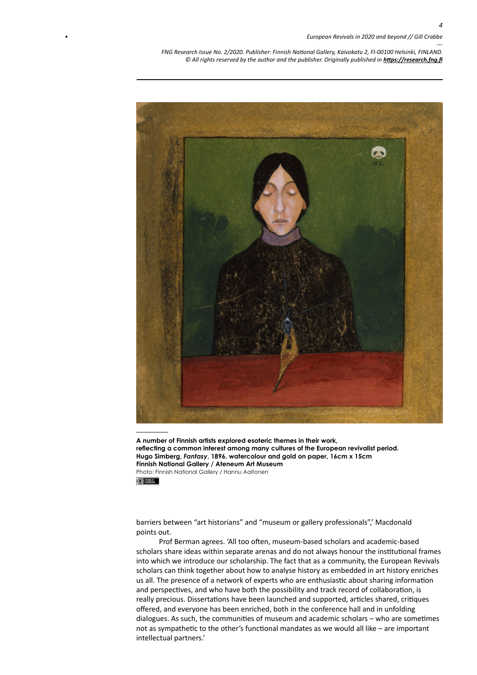*--- FNG Research Issue No. 2/2020. Publisher: Finnish National Gallery, Kaivokatu 2, FI-00100 Helsinki, FINLAND.* © All rights reserved by the author and the publisher. Originally published in **<https://research.fng.fi>** 



**A number of Finnish artists explored esoteric themes in their work, reflecting a common interest among many cultures of the European revivalist period. Hugo Simberg,** *Fantasy***, 1896, watercolour and gold on paper, 16cm x 15cm Finnish National Gallery / Ateneum Art Museum** Photo: Finnish National Gallery / Hannu Aaltonen $①$  and  $③$ 

barriers between "art historians" and "museum or gallery professionals",' Macdonald points out.

Prof Berman agrees. 'All too often, museum-based scholars and academic-based scholars share ideas within separate arenas and do not always honour the institutional frames into which we introduce our scholarship. The fact that as a community, the European Revivals scholars can think together about how to analyse history as embedded in art history enriches us all. The presence of a network of experts who are enthusiastic about sharing information and perspectives, and who have both the possibility and track record of collaboration, is really precious. Dissertations have been launched and supported, articles shared, critiques offered, and everyone has been enriched, both in the conference hall and in unfolding dialogues. As such, the communities of museum and academic scholars – who are sometimes not as sympathetic to the other's functional mandates as we would all like – are important intellectual partners.'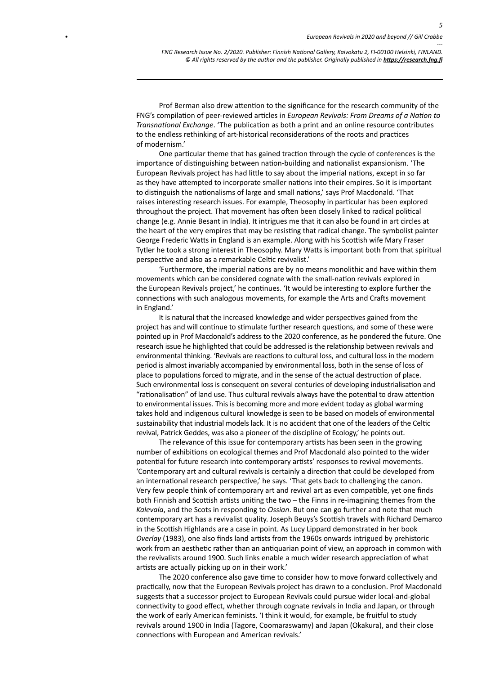*5*

*--- FNG Research Issue No. 2/2020. Publisher: Finnish National Gallery, Kaivokatu 2, FI-00100 Helsinki, FINLAND.* © All rights reserved by the author and the publisher. Originally published in **<https://research.fng.fi>** 

Prof Berman also drew attention to the significance for the research community of the FNG's compilation of peer-reviewed articles in *European Revivals: From Dreams of a Nation to Transnational Exchange*. 'The publication as both a print and an online resource contributes to the endless rethinking of art-historical reconsiderations of the roots and practices of modernism.'

One particular theme that has gained traction through the cycle of conferences is the importance of distinguishing between nation-building and nationalist expansionism. 'The European Revivals project has had little to say about the imperial nations, except in so far as they have attempted to incorporate smaller nations into their empires. So it is important to distinguish the nationalisms of large and small nations,' says Prof Macdonald. 'That raises interesting research issues. For example, Theosophy in particular has been explored throughout the project. That movement has often been closely linked to radical political change (e.g. Annie Besant in India). It intrigues me that it can also be found in art circles at the heart of the very empires that may be resisting that radical change. The symbolist painter George Frederic Watts in England is an example. Along with his Scottish wife Mary Fraser Tytler he took a strong interest in Theosophy. Mary Watts is important both from that spiritual perspective and also as a remarkable Celtic revivalist.'

'Furthermore, the imperial nations are by no means monolithic and have within them movements which can be considered cognate with the small-nation revivals explored in the European Revivals project,' he continues. 'It would be interesting to explore further the connections with such analogous movements, for example the Arts and Crafts movement in England.'

It is natural that the increased knowledge and wider perspectives gained from the project has and will continue to stimulate further research questions, and some of these were pointed up in Prof Macdonald's address to the 2020 conference, as he pondered the future. One research issue he highlighted that could be addressed is the relationship between revivals and environmental thinking. 'Revivals are reactions to cultural loss, and cultural loss in the modern period is almost invariably accompanied by environmental loss, both in the sense of loss of place to populations forced to migrate, and in the sense of the actual destruction of place. Such environmental loss is consequent on several centuries of developing industrialisation and "rationalisation" of land use. Thus cultural revivals always have the potential to draw attention to environmental issues. This is becoming more and more evident today as global warming takes hold and indigenous cultural knowledge is seen to be based on models of environmental sustainability that industrial models lack. It is no accident that one of the leaders of the Celtic revival, Patrick Geddes, was also a pioneer of the discipline of Ecology,' he points out.

The relevance of this issue for contemporary artists has been seen in the growing number of exhibitions on ecological themes and Prof Macdonald also pointed to the wider potential for future research into contemporary artists' responses to revival movements. 'Contemporary art and cultural revivals is certainly a direction that could be developed from an international research perspective,' he says. 'That gets back to challenging the canon. Very few people think of contemporary art and revival art as even compatible, yet one finds both Finnish and Scottish artists uniting the two – the Finns in re-imagining themes from the *Kalevala*, and the Scots in responding to *Ossian*. But one can go further and note that much contemporary art has a revivalist quality. Joseph Beuys's Scottish travels with Richard Demarco in the Scottish Highlands are a case in point. As Lucy Lippard demonstrated in her book *Overlay* (1983), one also finds land artists from the 1960s onwards intrigued by prehistoric work from an aesthetic rather than an antiquarian point of view, an approach in common with the revivalists around 1900. Such links enable a much wider research appreciation of what artists are actually picking up on in their work.'

The 2020 conference also gave time to consider how to move forward collectively and practically, now that the European Revivals project has drawn to a conclusion. Prof Macdonald suggests that a successor project to European Revivals could pursue wider local-and-global connectivity to good effect, whether through cognate revivals in India and Japan, or through the work of early American feminists. 'I think it would, for example, be fruitful to study revivals around 1900 in India (Tagore, Coomaraswamy) and Japan (Okakura), and their close connections with European and American revivals.'